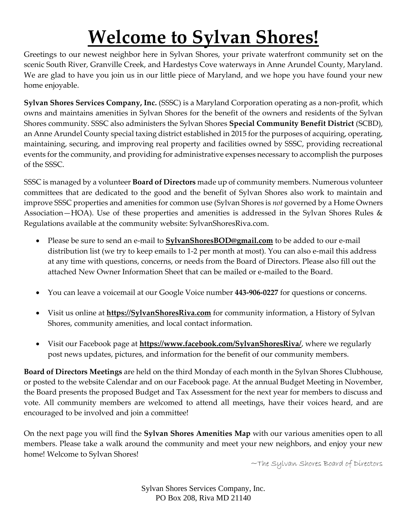## **Welcome to Sylvan Shores!**

Greetings to our newest neighbor here in Sylvan Shores, your private waterfront community set on the scenic South River, Granville Creek, and Hardestys Cove waterways in Anne Arundel County, Maryland. We are glad to have you join us in our little piece of Maryland, and we hope you have found your new home enjoyable.

**Sylvan Shores Services Company, Inc.** (SSSC) is a Maryland Corporation operating as a non-profit, which owns and maintains amenities in Sylvan Shores for the benefit of the owners and residents of the Sylvan Shores community. SSSC also administers the Sylvan Shores **Special Community Benefit District** (SCBD), an Anne Arundel County special taxing district established in 2015 for the purposes of acquiring, operating, maintaining, securing, and improving real property and facilities owned by SSSC, providing recreational events for the community, and providing for administrative expenses necessary to accomplish the purposes of the SSSC.

SSSC is managed by a volunteer **Board of Directors** made up of community members. Numerous volunteer committees that are dedicated to the good and the benefit of Sylvan Shores also work to maintain and improve SSSC properties and amenities for common use (Sylvan Shores is *not* governed by a Home Owners Association—HOA). Use of these properties and amenities is addressed in the Sylvan Shores Rules & Regulations available at the community website: SylvanShoresRiva.com.

- Please be sure to send an e-mail to **SylvanShoresBOD@gmail.com** to be added to our e-mail distribution list (we try to keep emails to 1-2 per month at most). You can also e-mail this address at any time with questions, concerns, or needs from the Board of Directors. Please also fill out the attached New Owner Information Sheet that can be mailed or e-mailed to the Board.
- You can leave a voicemail at our Google Voice number **443-906-0227** for questions or concerns.
- Visit us online at **https://SylvanShoresRiva.com** for community information, a History of Sylvan Shores, community amenities, and local contact information.
- Visit our Facebook page at **https://www.facebook.com/SylvanShoresRiva/**, where we regularly post news updates, pictures, and information for the benefit of our community members.

**Board of Directors Meetings** are held on the third Monday of each month in the Sylvan Shores Clubhouse, or posted to the website Calendar and on our Facebook page. At the annual Budget Meeting in November, the Board presents the proposed Budget and Tax Assessment for the next year for members to discuss and vote. All community members are welcomed to attend all meetings, have their voices heard, and are encouraged to be involved and join a committee!

On the next page you will find the **Sylvan Shores Amenities Map** with our various amenities open to all members. Please take a walk around the community and meet your new neighbors, and enjoy your new home! Welcome to Sylvan Shores!

~The Sylvan Shores Board of Directors

Sylvan Shores Services Company, Inc. PO Box 208, Riva MD 21140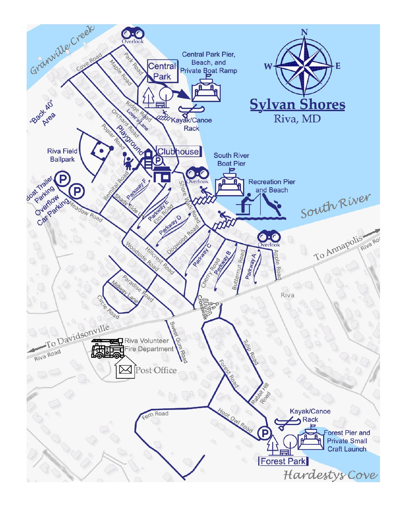